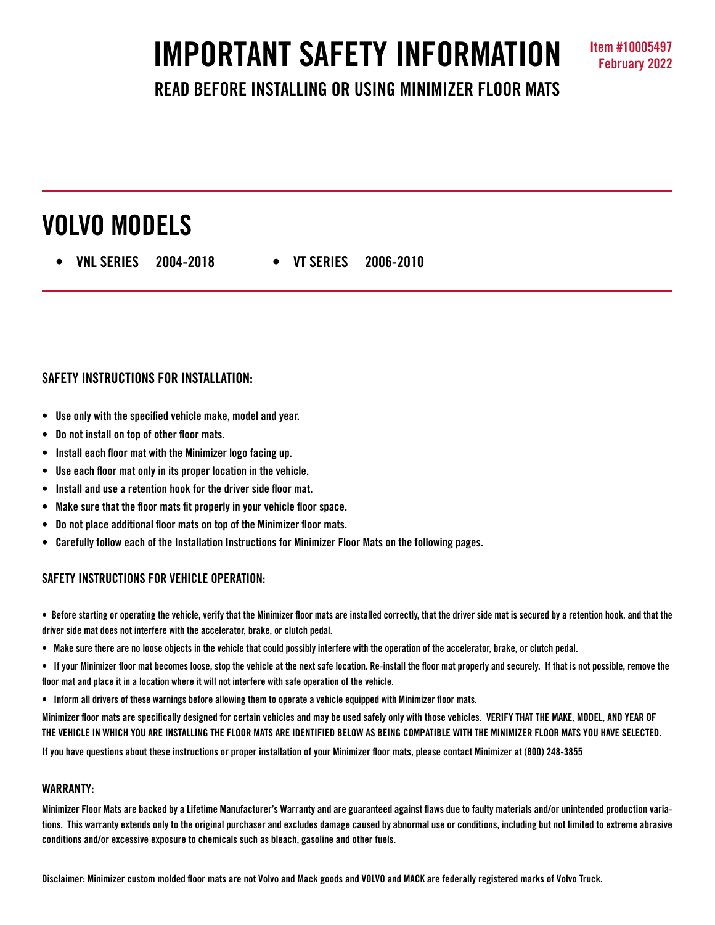# **IMPORTANT SAFETY INFORMATION Item #10005497**

### **READ BEFORE INSTALLING OR USING MINIMIZER FLOOR MATS**

## **VOLVO MODELS**

 **• VNL SERIES 2004-2018 • VT SERIES 2006-2010**

#### **SAFETY INSTRUCTIONS FOR INSTALLATION:**

- **Use only with the specified vehicle make, model and year.**
- **Do not install on top of other floor mats.**
- **Install each floor mat with the Minimizer logo facing up.**
- **Use each floor mat only in its proper location in the vehicle.**
- **Install and use a retention hook for the driver side floor mat.**
- **Make sure that the floor mats fit properly in your vehicle floor space.**
- **Do not place additional floor mats on top of the Minimizer floor mats.**
- **Carefully follow each of the Installation Instructions for Minimizer Floor Mats on the following pages.**

#### **SAFETY INSTRUCTIONS FOR VEHICLE OPERATION:**

**• Before starting or operating the vehicle, verify that the Minimizer floor mats are installed correctly, that the driver side mat is secured by a retention hook, and that the driver side mat does not interfere with the accelerator, brake, or clutch pedal.**

- **Make sure there are no loose objects in the vehicle that could possibly interfere with the operation of the accelerator, brake, or clutch pedal.**
- **If your Minimizer floor mat becomes loose, stop the vehicle at the next safe location. Re-install the floor mat properly and securely. If that is not possible, remove the floor mat and place it in a location where it will not interfere with safe operation of the vehicle.**
- **Inform all drivers of these warnings before allowing them to operate a vehicle equipped with Minimizer floor mats.**

**Minimizer floor mats are specifically designed for certain vehicles and may be used safely only with those vehicles. VERIFY THAT THE MAKE, MODEL, AND YEAR OF THE VEHICLE IN WHICH YOU ARE INSTALLING THE FLOOR MATS ARE IDENTIFIED BELOW AS BEING COMPATIBLE WITH THE MINIMIZER FLOOR MATS YOU HAVE SELECTED.** 

**If you have questions about these instructions or proper installation of your Minimizer floor mats, please contact Minimizer at (800) 248-3855**

#### **WARRANTY:**

**Minimizer Floor Mats are backed by a Lifetime Manufacturer's Warranty and are guaranteed against flaws due to faulty materials and/or unintended production variations. This warranty extends only to the original purchaser and excludes damage caused by abnormal use or conditions, including but not limited to extreme abrasive conditions and/or excessive exposure to chemicals such as bleach, gasoline and other fuels.**

**Disclaimer: Minimizer custom molded floor mats are not Volvo and Mack goods and VOLVO and MACK are federally registered marks of Volvo Truck.**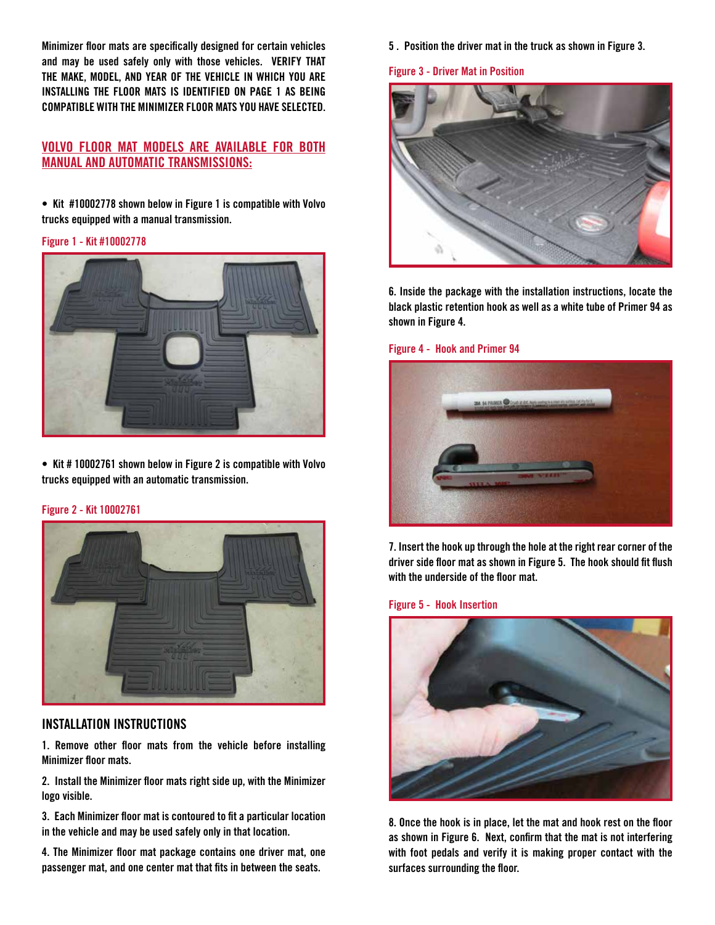**Minimizer floor mats are specifically designed for certain vehicles and may be used safely only with those vehicles. VERIFY THAT THE MAKE, MODEL, AND YEAR OF THE VEHICLE IN WHICH YOU ARE INSTALLING THE FLOOR MATS IS IDENTIFIED ON PAGE 1 AS BEING COMPATIBLE WITH THE MINIMIZER FLOOR MATS YOU HAVE SELECTED.** 

#### **VOLVO FLOOR MAT MODELS ARE AVAILABLE FOR BOTH MANUAL AND AUTOMATIC TRANSMISSIONS:**

**• Kit #10002778 shown below in Figure 1 is compatible with Volvo trucks equipped with a manual transmission.**

#### **Figure 1 - Kit #10002778**



**• Kit # 10002761 shown below in Figure 2 is compatible with Volvo trucks equipped with an automatic transmission.**

#### **Figure 2 - Kit 10002761**



#### **INSTALLATION INSTRUCTIONS**

**1. Remove other floor mats from the vehicle before installing Minimizer floor mats.**

**2. Install the Minimizer floor mats right side up, with the Minimizer logo visible.**

**3. Each Minimizer floor mat is contoured to fit a particular location in the vehicle and may be used safely only in that location.** 

**4. The Minimizer floor mat package contains one driver mat, one passenger mat, and one center mat that fits in between the seats.** 

**5 . Position the driver mat in the truck as shown in Figure 3.**

#### **Figure 3 - Driver Mat in Position**



**6. Inside the package with the installation instructions, locate the black plastic retention hook as well as a white tube of Primer 94 as shown in Figure 4.** 

#### **Figure 4 - Hook and Primer 94**



**7. Insert the hook up through the hole at the right rear corner of the driver side floor mat as shown in Figure 5. The hook should fit flush with the underside of the floor mat.** 

#### **Figure 5 - Hook Insertion**



**8. Once the hook is in place, let the mat and hook rest on the floor as shown in Figure 6. Next, confirm that the mat is not interfering with foot pedals and verify it is making proper contact with the surfaces surrounding the floor.**